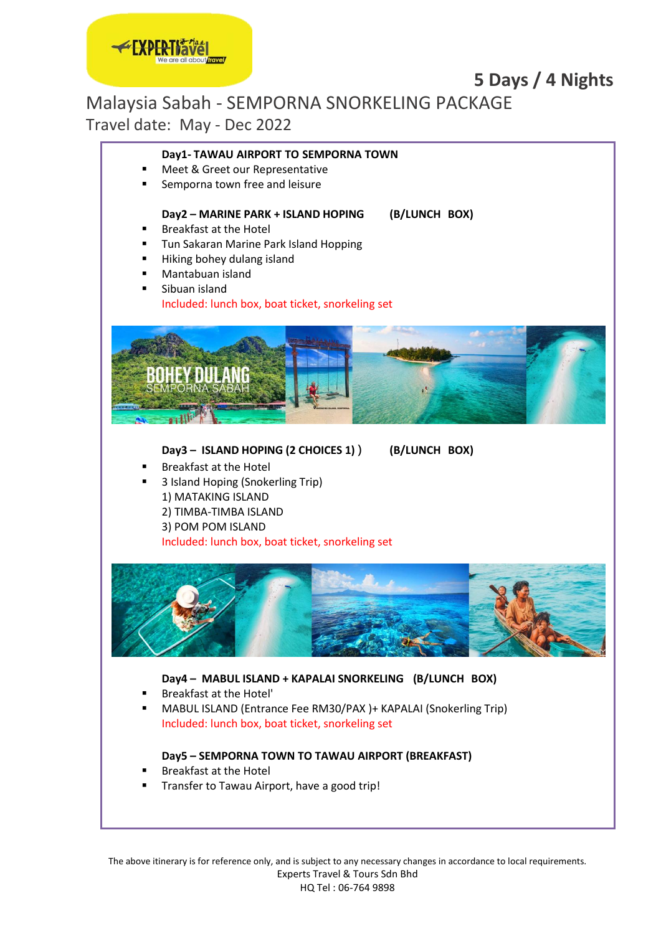# **5 Days / 4 Nights**

Malaysia Sabah - SEMPORNA SNORKELING PACKAGE

Travel date: May - Dec 2022

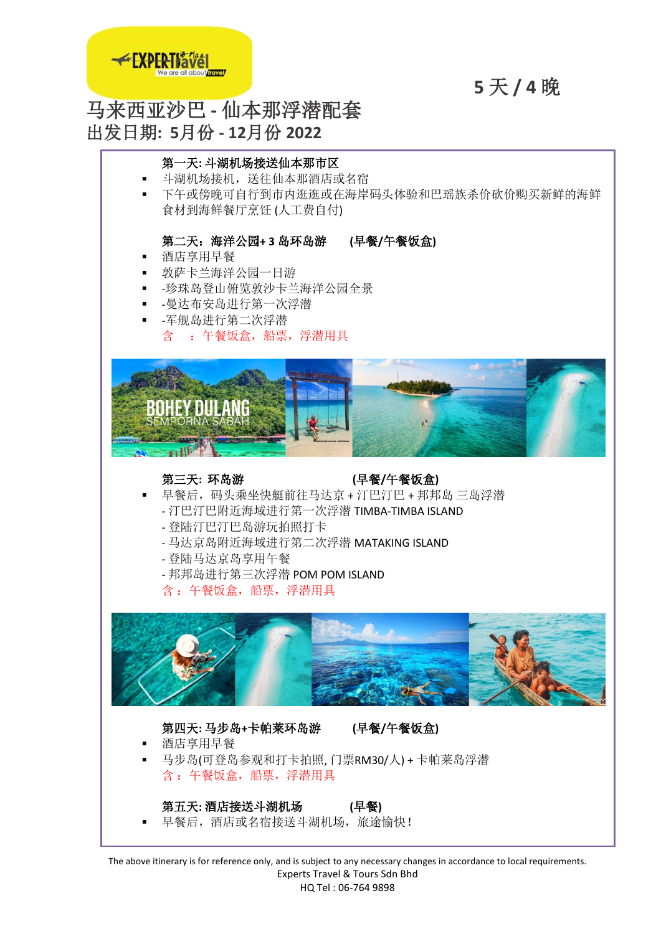

**5** 天 **/ 4** 晚

# 马来西亚沙巴 **-** 仙本那浮潜配套 出发日期**: 5**月份 **- 12**月份 **2022**

# 第一天**:** 斗湖机场接送仙本那市区

- 斗湖机场接机,送往仙本那酒店或名宿
- 下午或傍晚可自行到市内逛逛或在海岸码头体验和巴瑶族杀价砍价购买新鲜的海鲜 食材到海鲜餐厅烹饪 (人工费自付)

## 第二天:海洋公园**+ 3** 岛环岛游 **(**早餐**/**午餐饭盒**)**

- 酒店享用早餐
- 敦萨卡兰海洋公园一日游
- -珍珠岛登山俯览敦沙卡兰海洋公园全景
- -曼达布安岛进行第一次浮潜
- -军舰岛进行第二次浮潜 含 :午餐饭盒,船票,浮潜用具



## 第三天**:** 环岛游 **(**早餐**/**午餐饭盒**)**

- 早餐后,码头乘坐快艇前往马达京 + 汀巴汀巴 + 邦邦岛 三岛浮潜
	- 汀巴汀巴附近海域进行第一次浮潜 TIMBA-TIMBA ISLAND
	- 登陆汀巴汀巴岛游玩拍照打卡
	- 马达京岛附近海域进行第二次浮潜 MATAKING ISLAND
	- 登陆马达京岛享用午餐
	- 邦邦岛进行第三次浮潜 POM POM ISLAND
	- 含 :午餐饭盒,船票,浮潜用具



# 第四天**:** 马步岛**+**卡帕莱环岛游 **(**早餐**/**午餐饭盒**)**

- 酒店享用早餐
- 马步岛(可登岛参观和打卡拍照, 门票RM30/人) + 卡帕莱岛浮潜 含 :午餐饭盒,船票,浮潜用具

# 第五天**:** 酒店接送斗湖机场 **(**早餐**)**

早餐后,酒店或名宿接送斗湖机场,旅途愉快!

The above itinerary is for reference only, and is subject to any necessary changes in accordance to local requirements. Experts Travel & Tours Sdn Bhd HQ Tel : 06-764 9898